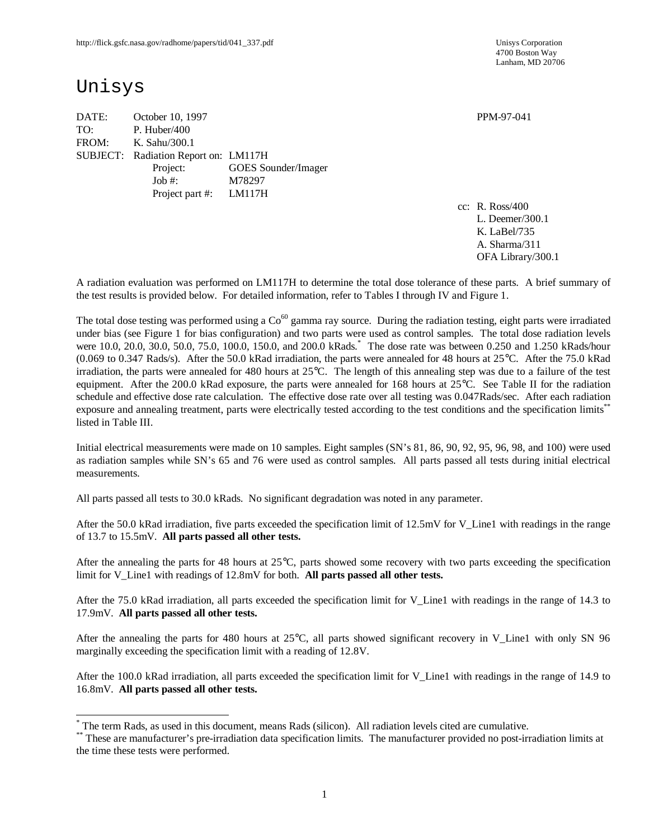4700 Boston Way Lanham, MD 20706

# Unisys

-

DATE: October 10, 1997 PPM-97-041 TO: P. Huber/400 FROM: K. Sahu/300.1 SUBJECT: Radiation Report on: LM117H Project: GOES Sounder/Imager Job #: M78297 Project part #: LM117H

cc: R. Ross/400 L. Deemer/300.1 K. LaBel/735 A. Sharma/311 OFA Library/300.1

A radiation evaluation was performed on LM117H to determine the total dose tolerance of these parts. A brief summary of the test results is provided below. For detailed information, refer to Tables I through IV and Figure 1.

The total dose testing was performed using a  $Co<sup>60</sup>$  gamma ray source. During the radiation testing, eight parts were irradiated under bias (see Figure 1 for bias configuration) and two parts were used as control samples. The total dose radiation levels were 10.0, 20.0, 30.0, 50.0, 75.0, 100.0, 150.0, and 200.0 kRads. \* The dose rate was between 0.250 and 1.250 kRads/hour (0.069 to 0.347 Rads/s). After the 50.0 kRad irradiation, the parts were annealed for 48 hours at 25°C. After the 75.0 kRad irradiation, the parts were annealed for 480 hours at 25°C. The length of this annealing step was due to a failure of the test equipment. After the 200.0 kRad exposure, the parts were annealed for 168 hours at 25°C. See Table II for the radiation schedule and effective dose rate calculation. The effective dose rate over all testing was 0.047Rads/sec. After each radiation exposure and annealing treatment, parts were electrically tested according to the test conditions and the specification limits<sup>\*\*</sup> listed in Table III.

Initial electrical measurements were made on 10 samples. Eight samples (SN's 81, 86, 90, 92, 95, 96, 98, and 100) were used as radiation samples while SN's 65 and 76 were used as control samples. All parts passed all tests during initial electrical measurements.

All parts passed all tests to 30.0 kRads. No significant degradation was noted in any parameter.

After the 50.0 kRad irradiation, five parts exceeded the specification limit of 12.5mV for V\_Line1 with readings in the range of 13.7 to 15.5mV. **All parts passed all other tests.**

After the annealing the parts for 48 hours at  $25^{\circ}$ C, parts showed some recovery with two parts exceeding the specification limit for V\_Line1 with readings of 12.8mV for both. **All parts passed all other tests.**

After the 75.0 kRad irradiation, all parts exceeded the specification limit for V\_Line1 with readings in the range of 14.3 to 17.9mV. **All parts passed all other tests.**

After the annealing the parts for 480 hours at 25°C, all parts showed significant recovery in V\_Line1 with only SN 96 marginally exceeding the specification limit with a reading of 12.8V.

After the 100.0 kRad irradiation, all parts exceeded the specification limit for V\_Line1 with readings in the range of 14.9 to 16.8mV. **All parts passed all other tests.**

<sup>\*</sup> The term Rads, as used in this document, means Rads (silicon). All radiation levels cited are cumulative.

<sup>\*\*</sup> These are manufacturer's pre-irradiation data specification limits. The manufacturer provided no post-irradiation limits at the time these tests were performed.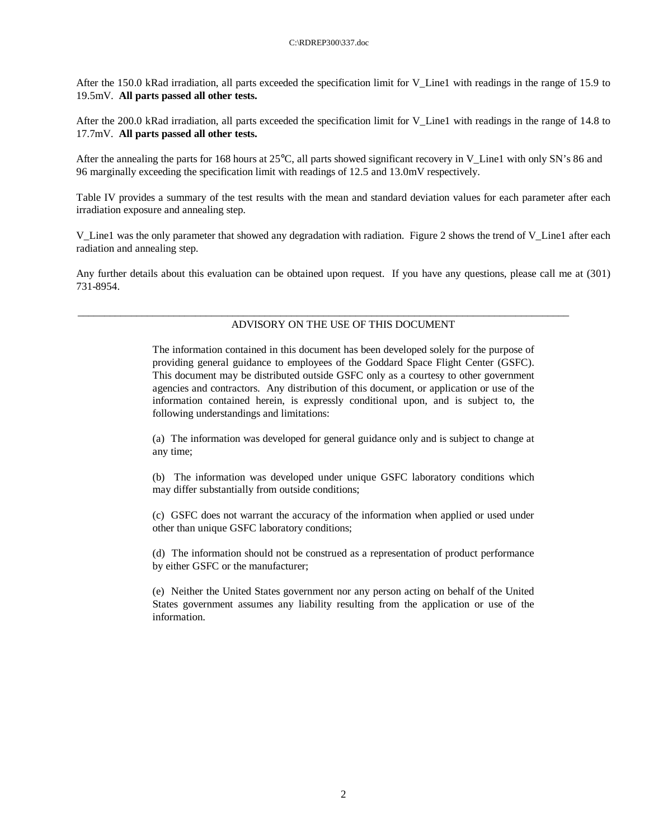After the 150.0 kRad irradiation, all parts exceeded the specification limit for V\_Line1 with readings in the range of 15.9 to 19.5mV. **All parts passed all other tests.**

After the 200.0 kRad irradiation, all parts exceeded the specification limit for V\_Line1 with readings in the range of 14.8 to 17.7mV. **All parts passed all other tests.**

After the annealing the parts for 168 hours at  $25^{\circ}$ C, all parts showed significant recovery in V Line1 with only SN's 86 and 96 marginally exceeding the specification limit with readings of 12.5 and 13.0mV respectively.

Table IV provides a summary of the test results with the mean and standard deviation values for each parameter after each irradiation exposure and annealing step.

V\_Line1 was the only parameter that showed any degradation with radiation. Figure 2 shows the trend of V\_Line1 after each radiation and annealing step.

Any further details about this evaluation can be obtained upon request. If you have any questions, please call me at (301) 731-8954.

#### ADVISORY ON THE USE OF THIS DOCUMENT

\_\_\_\_\_\_\_\_\_\_\_\_\_\_\_\_\_\_\_\_\_\_\_\_\_\_\_\_\_\_\_\_\_\_\_\_\_\_\_\_\_\_\_\_\_\_\_\_\_\_\_\_\_\_\_\_\_\_\_\_\_\_\_\_\_\_\_\_\_\_\_\_\_\_\_\_\_\_\_\_\_\_\_\_\_\_\_\_\_\_\_\_

The information contained in this document has been developed solely for the purpose of providing general guidance to employees of the Goddard Space Flight Center (GSFC). This document may be distributed outside GSFC only as a courtesy to other government agencies and contractors. Any distribution of this document, or application or use of the information contained herein, is expressly conditional upon, and is subject to, the following understandings and limitations:

(a) The information was developed for general guidance only and is subject to change at any time;

(b) The information was developed under unique GSFC laboratory conditions which may differ substantially from outside conditions;

(c) GSFC does not warrant the accuracy of the information when applied or used under other than unique GSFC laboratory conditions;

(d) The information should not be construed as a representation of product performance by either GSFC or the manufacturer;

(e) Neither the United States government nor any person acting on behalf of the United States government assumes any liability resulting from the application or use of the information.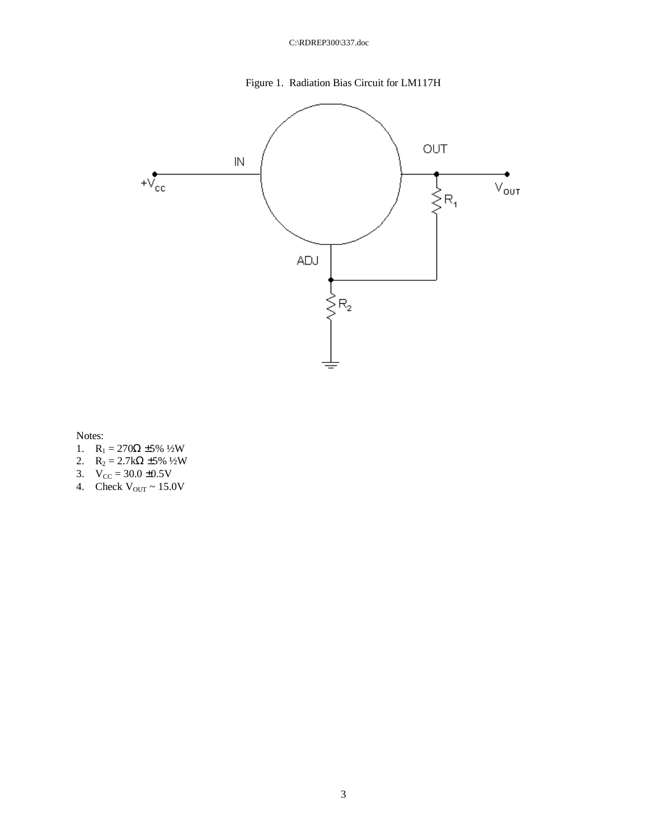



Notes:

- 1.  $R_1 = 270\Omega \pm 5\% \frac{1}{2}W$
- 2.  $R_2 = 2.7k\Omega \pm 5\% 1/2W$
- 3.  $V_{CC} = 30.0 \pm 0.5V$
- 4. Check  $V_{\text{OUT}} \sim 15.0 V$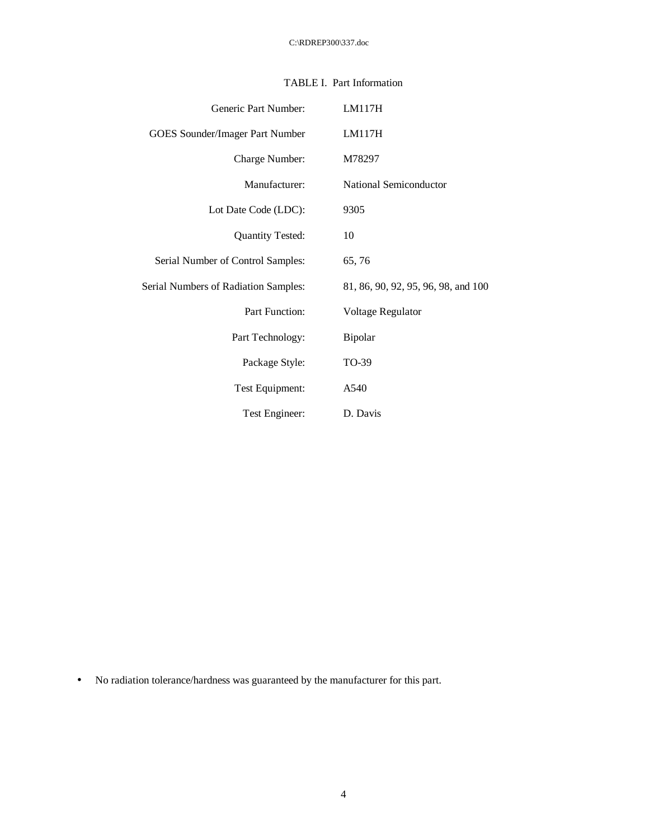| Generic Part Number:                 | LM117H                              |
|--------------------------------------|-------------------------------------|
| GOES Sounder/Imager Part Number      | LM117H                              |
| Charge Number:                       | M78297                              |
| Manufacturer:                        | National Semiconductor              |
| Lot Date Code (LDC):                 | 9305                                |
| <b>Quantity Tested:</b>              | 10                                  |
| Serial Number of Control Samples:    | 65,76                               |
| Serial Numbers of Radiation Samples: | 81, 86, 90, 92, 95, 96, 98, and 100 |
| Part Function:                       | Voltage Regulator                   |
| Part Technology:                     | Bipolar                             |
| Package Style:                       | TO-39                               |
| Test Equipment:                      | A540                                |
| Test Engineer:                       | D. Davis                            |

## TABLE I. Part Information

• No radiation tolerance/hardness was guaranteed by the manufacturer for this part.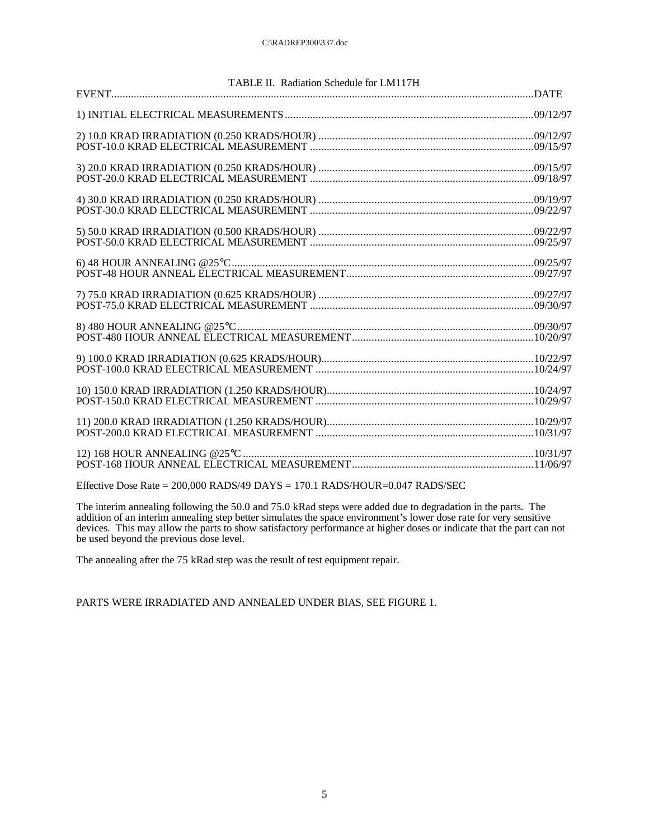| TABLE II. Radiation Schedule for LM117H                                            |  |
|------------------------------------------------------------------------------------|--|
|                                                                                    |  |
|                                                                                    |  |
|                                                                                    |  |
|                                                                                    |  |
|                                                                                    |  |
|                                                                                    |  |
|                                                                                    |  |
|                                                                                    |  |
|                                                                                    |  |
|                                                                                    |  |
|                                                                                    |  |
|                                                                                    |  |
|                                                                                    |  |
|                                                                                    |  |
|                                                                                    |  |
|                                                                                    |  |
|                                                                                    |  |
|                                                                                    |  |
|                                                                                    |  |
|                                                                                    |  |
|                                                                                    |  |
|                                                                                    |  |
|                                                                                    |  |
|                                                                                    |  |
| Effective Dose Rate = $200,000$ RADS/49 DAYS = $170.1$ RADS/HOUR= $0.047$ RADS/SEC |  |

The interim annealing following the 50.0 and 75.0 kRad steps were added due to degradation in the parts. The

addition of an interim annealing step better simulates the space environment's lower dose rate for very sensitive devices. This may allow the parts to show satisfactory performance at higher doses or indicate that the part can not be used beyond the previous dose level.

The annealing after the 75 kRad step was the result of test equipment repair.

PARTS WERE IRRADIATED AND ANNEALED UNDER BIAS, SEE FIGURE 1.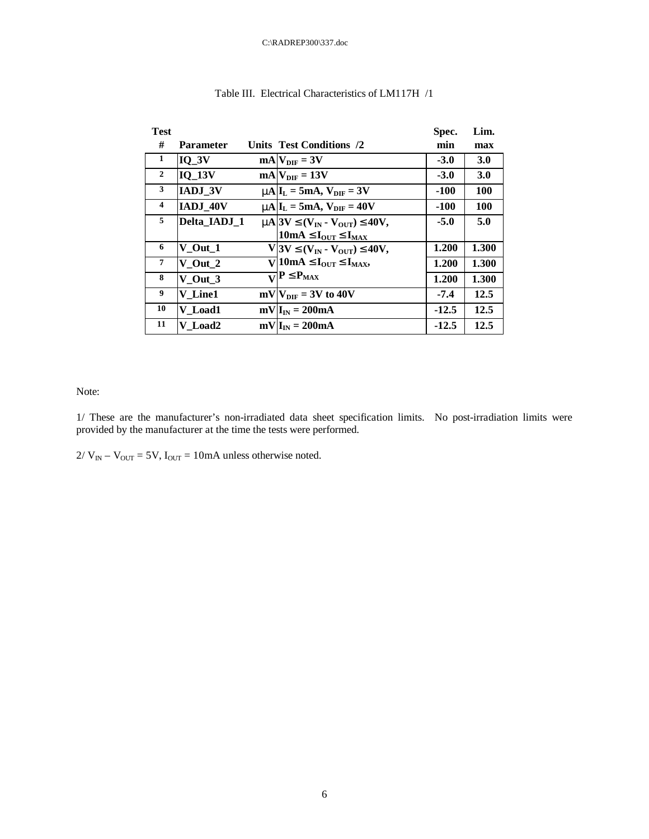| <b>Test</b>             |                  |                                                                              | Spec.   | Lim.       |
|-------------------------|------------------|------------------------------------------------------------------------------|---------|------------|
| #                       | <b>Parameter</b> | Units Test Conditions /2                                                     | min     | max        |
| 1                       | $IO_3V$          | $mA V_{\text{DIF}} = 3V$                                                     | $-3.0$  | <b>3.0</b> |
| $\overline{2}$          | <b>IQ 13V</b>    | $mA$ $V_{\text{DIF}} = 13V$                                                  | $-3.0$  | 3.0        |
| 3                       | <b>IADJ 3V</b>   | $mAlI_L = 5mA$ , $V_{\text{DIF}} = 3V$                                       | $-100$  | <b>100</b> |
| $\overline{\mathbf{4}}$ | IADJ_40V         | $mA I_L = 5mA$ , $V_{\text{DIF}} = 40V$                                      | $-100$  | <b>100</b> |
| 5                       | Delta IADJ 1     | $m\approx 3V \mathbf{E}(V_{IN} - V_{OUT}) \mathbf{E} 40V,$                   | $-5.0$  | 5.0        |
|                         |                  | 10mA $\mathbf{E}\mathbf{I}_{\text{OUT}}$ $\mathbf{E}\mathbf{I}_{\text{MAX}}$ |         |            |
| 6                       | $V_$ Out $_1$    | V 3V $\mathbf{\mathfrak{L}}(V_{IN} - V_{OUT}) \mathbf{\mathfrak{L}} 40V,$    | 1.200   | 1.300      |
| $\overline{7}$          | $V_$ Out $_2$    | $V$ 10mA £ $I_{\text{OUT}}$ £ $I_{\text{MAX}}$ ,                             | 1.200   | 1.300      |
| 8                       | V Out 3          | $\overline{\mathbf{v}}$ P £P <sub>MAX</sub>                                  | 1.200   | 1.300      |
| 9                       | V Line1          | $mV V_{\text{DIF}} = 3V$ to 40V                                              | $-7.4$  | 12.5       |
| 10                      | V Load1          | $mV IIN = 200mA$                                                             | $-12.5$ | 12.5       |
| 11                      | V Load2          | $mV I_{IN} = 200mA$                                                          | $-12.5$ | 12.5       |

### Table III. Electrical Characteristics of LM117H /1

Note:

1/ These are the manufacturer's non-irradiated data sheet specification limits. No post-irradiation limits were provided by the manufacturer at the time the tests were performed.

 $2/V_{IN} - V_{OUT} = 5V$ ,  $I_{OUT} = 10mA$  unless otherwise noted.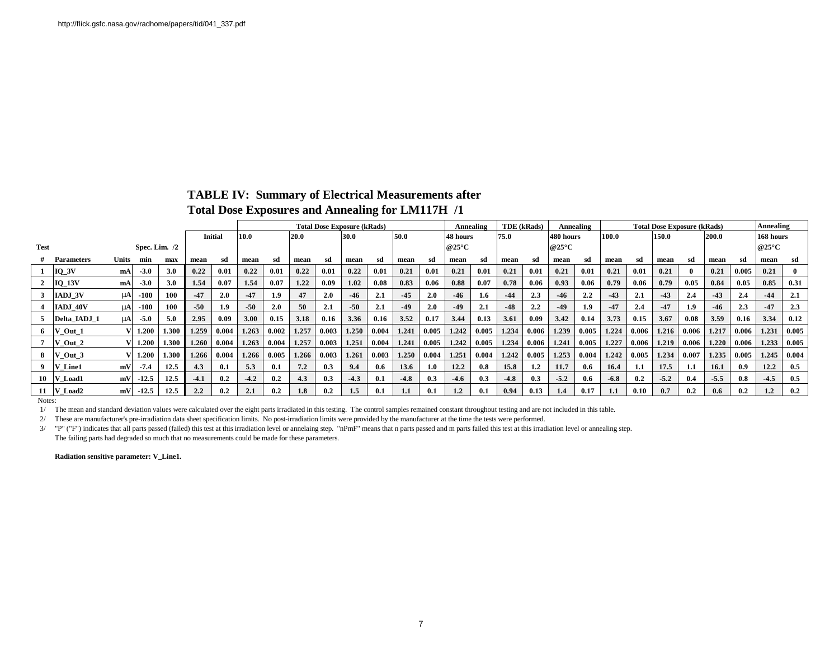## **TABLE IV: Summary of Electrical Measurements after**

**Total Dose Exposures and Annealing for LM117H /1**

|             |                 |       |                 |       |        |                | <b>Total Dose Exposure (kRads)</b> |               |       |              |        |       |                  |       | <b>TDE</b> (kRads)<br>Annealing |       |        |                  | Annealing     | <b>Total Dose Exposure (kRads)</b> |        |       |           |       |               | Annealing |                          |       |
|-------------|-----------------|-------|-----------------|-------|--------|----------------|------------------------------------|---------------|-------|--------------|--------|-------|------------------|-------|---------------------------------|-------|--------|------------------|---------------|------------------------------------|--------|-------|-----------|-------|---------------|-----------|--------------------------|-------|
|             |                 |       |                 |       |        | <b>Initial</b> | 10.0<br>20.0                       |               |       | 50.0<br>30.0 |        |       | 75.0<br>48 hours |       | 480 hours                       |       | 100.0  |                  | 150.0         |                                    | 200.0  |       | 168 hours |       |               |           |                          |       |
| <b>Test</b> |                 |       | Spec. Lim. $/2$ |       |        |                |                                    |               |       |              |        |       |                  |       | @25 $\mathrm{^{\circ}C}$        |       |        |                  | @25°C         |                                    |        |       |           |       |               |           | @25 $\mathrm{^{\circ}C}$ |       |
|             | Parameters      | Units | min             | max   | mean   | sd             | mean                               | sd            | mean  | -sd          | mean   | sd    | mean             | sd    | mean                            | sd    | mean   | sd               | mean          | sd                                 | mean   | sd    | mean      | sd    | mean          | sd        | mean                     |       |
|             | $IQ_3V$         | mA    | $-3.0$          | 3.0   | 0.22   | 0.01           | 0.22                               | 0.01          | 0.22  | 0.01         | 0.22   | 0.01  | 0.21             | 0.01  | 0.21                            | 0.01  | 0.21   | 0.01             | 0.21          | 0.01                               | 0.21   | 0.01  | 0.21      | -0    | 0.21          | 0.005     | 0.21                     |       |
|             | $IQ_13V$        | mA    | $-3.0$          | 3.0   | 1.54   | 0.07           | 1.54                               | 0.07          | 1.22  | 0.09         | 1.02   | 0.08  | 0.83             | 0.06  | 0.88                            | 0.07  | 0.78   | 0.06             | 0.93          | 0.06                               | 0.79   | 0.06  | 0.79      | 0.05  | 0.84          | 0.05      | 0.85                     | 0.31  |
|             | IADJ 3V         | mAl   | $-100$          | 100   | $-47$  | 2.0            | $-47$                              | 1.9           | 47    | 2.0          | $-46$  | 2.1   | $-45$            | 2.0   | $-46$                           | 1.6   | $-44$  | 2.3              | $-46$         | 2.2                                | $-43$  | 2.1   | $-43$     | 2.4   | $-43$         | 2.4       | $-44$                    | 2.1   |
|             | <b>IADJ 40V</b> | mAl   | $-100$          | 100   | $-50$  | 1.9            | $-50$                              | 2.0           | 50    | 2.1          | $-50$  | 2.1   | $-49$            | 2.0   | $-49$                           | 2.1   | $-48$  | 2.2              | $-49$         | 1.9                                | $-47$  | 2.4   | $-47$     | 1.9   | $-46$         | 2.3       | $-47$                    | 2.3   |
|             | Delta IADJ 1    | mAl   | $-5.0$          | 5.0   | 2.95   | 0.09           | 3.00                               | 0.15          | 3.18  | 0.16         | 3.36   | 0.16  | 3.52             | 0.17  | 3.44                            | 0.13  | 3.61   | 0.09             | 3.42          | 0.14                               | 3.73   | 0.15  | 3.67      | 0.08  | 3.59          | 0.16      | 3.34                     | 0.12  |
| 6           | Out 1           |       | 1.200           | 1.300 | 1.259  | 0.004          | 1.263                              | $0.002$ 1.257 |       | 0.003        | 1.250  | 0.004 | 1.241            | 0.005 | 1.242                           | 0.005 | 1.234  | 0.006            | 1.239         | 0.005                              | 1.224  | 0.006 | 1.216     | 0.006 | 1.217         | 0.006     | 1.231                    | 0.005 |
|             | $-$ Out $-2$    |       | 1.200           | 1.300 | 1.260  | 0.004          | 1.263                              | 0.004         | 1.257 | 0.003        | 1.251  | 0.004 | 1.241            | 0.005 | 1.242                           | 0.005 | 1.234  |                  | $0.006$ 1.241 | 0.005                              | 1.227  | 0.006 | 1.219     | 0.006 | 1.220         | 0.006     | 1.233                    | 0.005 |
|             | Out 3           |       | 1.200           | 1.300 | 1.266  | 0.004          | 1.266                              | 0.005         | 1.266 | 0.003        | 1.261  | 0.003 | 1.250            | 0.004 | 1.251                           | 0.004 | 1.242  | 0.005            | 1.253         | 0.004                              | 1.242  | 0.005 | 1.234     | 0.007 | 1.235         | 0.005     | 1.245                    | 0.004 |
|             | Line1           | mV    | $-7.4$          | 12.5  | 4.3    | 0.1            | 5.3                                | 0.1           | 7.2   | 0.3          | 9.4    | 0.6   | 13.6             |       | 12.2                            | 0.8   | 15.8   | $1.2\phantom{0}$ | 11.7          | 0.6                                | 16.4   | 1.1   | 17.5      | 1.1   | 16.1          | 0.9       | 12.2                     | 0.5   |
|             | Load1           | mV    | $-12.5$         | 12.5  | $-4.1$ | 0.2            | $-4.2$                             | 0.2           | 4.3   | 0.3          | $-4.3$ |       | $-4.8$           | 0.3   | $-4.6$                          | 0.3   | $-4.8$ | 0.3              | $-5.2$        | 0.6                                | $-6.8$ | 0.2   | $-5.2$    | 0.4   | $-5.5$        | 0.8       | $-4.5$                   | 0.5   |
|             | $\_Load2$       | mV    | $-12.5$         | 12.5  | 2.2    | 0.2            | 2.1                                | 0.2           | 1.8   | 0.2          |        |       |                  |       | 1.2                             | 0.1   | 0.94   | 0.13             | 1.4           | 0.17                               |        | 0.10  | 0.7       | 0.2   | $0.6^{\circ}$ | 0.2       | 1.2                      | 0.2   |

Notes:

1/ The mean and standard deviation values were calculated over the eight parts irradiated in this testing. The control samples remained constant throughout testing and are not included in this table.

2/ These are manufacturer's pre-irradiation data sheet specification limits. No post-irradiation limits were provided by the manufacturer at the time the tests were performed.

3/ "P" ("F") indicates that all parts passed (failed) this test at this irradiation level or annelaing step. "nPmF" means that n parts passed and m parts failed this test at this irradiation level or annealing step. The failing parts had degraded so much that no measurements could be made for these parameters.

**Radiation sensitive parameter: V\_Line1.**